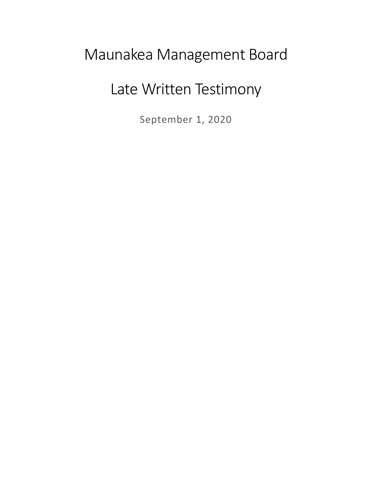## Maunakea Management Board

## Late Written Testimony

September 1, 2020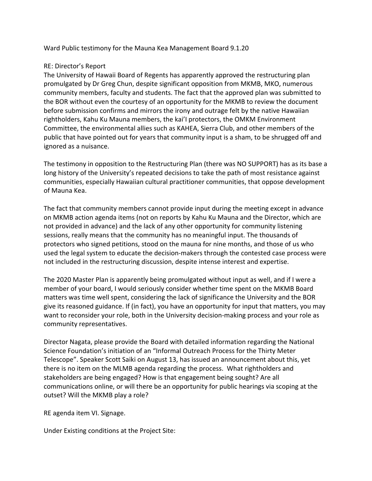Ward Public testimony for the Mauna Kea Management Board 9.1.20

## RE: Director's Report

The University of Hawaii Board of Regents has apparently approved the restructuring plan promulgated by Dr Greg Chun, despite significant opposition from MKMB, MKO, numerous community members, faculty and students. The fact that the approved plan was submitted to the BOR without even the courtesy of an opportunity for the MKMB to review the document before submission confirms and mirrors the irony and outrage felt by the native Hawaiian rightholders, Kahu Ku Mauna members, the kai'I protectors, the OMKM Environment Committee, the environmental allies such as KAHEA, Sierra Club, and other members of the public that have pointed out for years that community input is a sham, to be shrugged off and ignored as a nuisance.

The testimony in opposition to the Restructuring Plan (there was NO SUPPORT) has as its base a long history of the University's repeated decisions to take the path of most resistance against communities, especially Hawaiian cultural practitioner communities, that oppose development of Mauna Kea.

The fact that community members cannot provide input during the meeting except in advance on MKMB action agenda items (not on reports by Kahu Ku Mauna and the Director, which are not provided in advance) and the lack of any other opportunity for community listening sessions, really means that the community has no meaningful input. The thousands of protectors who signed petitions, stood on the mauna for nine months, and those of us who used the legal system to educate the decision-makers through the contested case process were not included in the restructuring discussion, despite intense interest and expertise.

The 2020 Master Plan is apparently being promulgated without input as well, and if I were a member of your board, I would seriously consider whether time spent on the MKMB Board matters was time well spent, considering the lack of significance the University and the BOR give its reasoned guidance. If (in fact), you have an opportunity for input that matters, you may want to reconsider your role, both in the University decision-making process and your role as community representatives.

Director Nagata, please provide the Board with detailed information regarding the National Science Foundation's initiation of an "Informal Outreach Process for the Thirty Meter Telescope". Speaker Scott Saiki on August 13, has issued an announcement about this, yet there is no item on the MLMB agenda regarding the process. What rightholders and stakeholders are being engaged? How is that engagement being sought? Are all communications online, or will there be an opportunity for public hearings via scoping at the outset? Will the MKMB play a role?

RE agenda item VI. Signage.

Under Existing conditions at the Project Site: